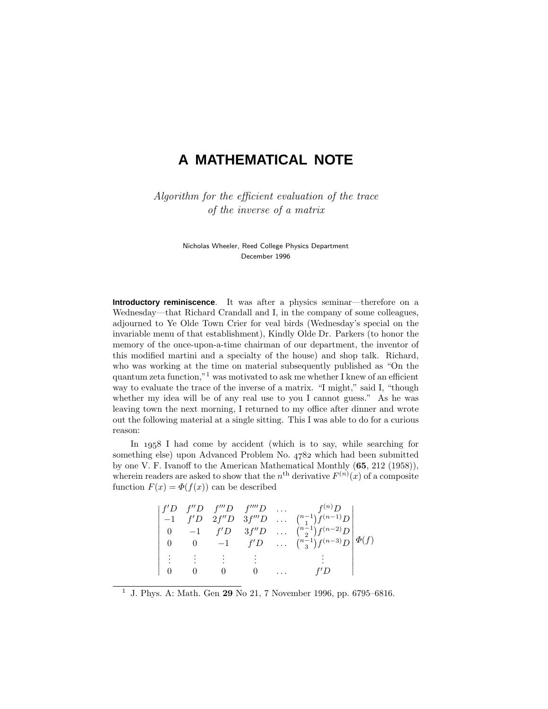# **A MATHEMATICAL NOTE**

Algorithm for the efficient evaluation of the trace of the inverse of a matrix

> Nicholas Wheeler, Reed College Physics Department December 1996

**Introductory reminiscence**. It was after a physics seminar—therefore on a Wednesday—that Richard Crandall and I, in the company of some colleagues, adjourned to Ye Olde Town Crier for veal birds (Wednesday's special on the invariable menu of that establishment), Kindly Olde Dr. Parkers (to honor the memory of the once-upon-a-time chairman of our department, the inventor of this modified martini and a specialty of the house) and shop talk. Richard, who was working at the time on material subsequently published as "On the quantum zeta function,"<sup>1</sup> was motivated to ask me whether I knew of an efficient way to evaluate the trace of the inverse of a matrix. "I might," said I, "though whether my idea will be of any real use to you I cannot guess." As he was leaving town the next morning, I returned to my office after dinner and wrote out the following material at a single sitting. This I was able to do for a curious reason:

In  $1958$  I had come by accident (which is to say, while searching for something else) upon Advanced Problem No. 4782 which had been submitted by one V. F. Ivanoff to the American Mathematical Monthly (**65**, 212 (1958)), wherein readers are asked to show that the  $n^{\text{th}}$  derivative  $F^{(n)}(x)$  of a composite function  $F(x) = \Phi(f(x))$  can be described

|  |  | f'D f''D f'''D f'''D f''''D | $f^{(n)}D$                                                                                           |  |
|--|--|-----------------------------|------------------------------------------------------------------------------------------------------|--|
|  |  |                             | $\begin{vmatrix} -1 & f'D & 2f''D & 3f'''D & \dots & {n-1 \choose 1}f^{(n-1)}D \end{vmatrix}$        |  |
|  |  |                             |                                                                                                      |  |
|  |  |                             | 0 -1 $f'D$ $3f''D$ $\binom{n-1}{2}f^{(n-2)}D$<br>0 0 -1 $f'D$ $\binom{n-1}{3}f^{(n-3)}D \not\Phi(f)$ |  |
|  |  |                             |                                                                                                      |  |
|  |  |                             | f′ D                                                                                                 |  |

<sup>1</sup> J. Phys. A: Math. Gen **29** No 21, 7 November 1996, pp. 6795–6816.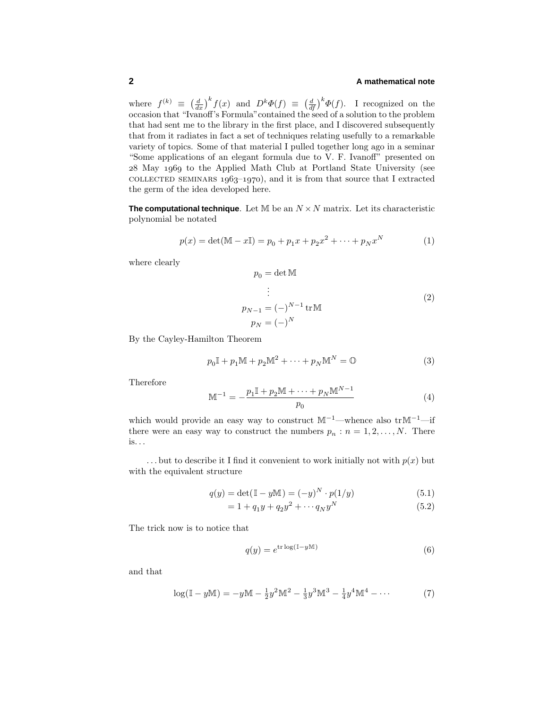## **2 A mathematical note**

where  $f^{(k)} \equiv \left(\frac{d}{dx}\right)^k f(x)$  and  $D^k \Phi(f) \equiv \left(\frac{d}{df}\right)^k \Phi(f)$ . I recognized on the occasion that "Ivanoff's Formula"contained the seed of a solution to the problem that had sent me to the library in the first place, and I discovered subsequently that from it radiates in fact a set of techniques relating usefully to a remarkable variety of topics. Some of that material I pulled together long ago in a seminar "Some applications of an elegant formula due to V. F. Ivanoff" presented on 28 May 1969 to the Applied Math Club at Portland State University (see COLLECTED SEMINARS  $1963-1970$ , and it is from that source that I extracted the germ of the idea developed here.

**The computational technique**. Let  $M$  be an  $N \times N$  matrix. Let its characteristic polynomial be notated

$$
p(x) = \det(\mathbb{M} - x\mathbb{I}) = p_0 + p_1 x + p_2 x^2 + \dots + p_N x^N
$$
 (1)

where clearly

$$
p_0 = \det \mathbb{M}
$$
  
\n
$$
\vdots
$$
  
\n
$$
p_{N-1} = (-)^{N-1} \operatorname{tr} \mathbb{M}
$$
  
\n
$$
p_N = (-)^N
$$
 (2)

By the Cayley-Hamilton Theorem

$$
p_0 \mathbb{I} + p_1 \mathbb{M} + p_2 \mathbb{M}^2 + \dots + p_N \mathbb{M}^N = \mathbb{O}
$$
 (3)

Therefore

$$
\mathbb{M}^{-1} = -\frac{p_1 \mathbb{I} + p_2 \mathbb{M} + \dots + p_N \mathbb{M}^{N-1}}{p_0}
$$
\n(4)

which would provide an easy way to construct  $M^{-1}$ —whence also tr $M^{-1}$ —if there were an easy way to construct the numbers  $p_n : n = 1, 2, ..., N$ . There is*...*

 $\ldots$  but to describe it I find it convenient to work initially not with  $p(x)$  but with the equivalent structure

$$
q(y) = \det(\mathbb{I} - y\mathbb{M}) = (-y)^N \cdot p(1/y)
$$
 (5.1)

$$
= 1 + q_1 y + q_2 y^2 + \cdots q_N y^N \tag{5.2}
$$

The trick now is to notice that

$$
q(y) = e^{\text{tr}\log(\mathbb{I} - y\mathbb{M})}
$$
\n(6)

and that

$$
\log(\mathbb{I} - y\mathbb{M}) = -y\mathbb{M} - \frac{1}{2}y^2\mathbb{M}^2 - \frac{1}{3}y^3\mathbb{M}^3 - \frac{1}{4}y^4\mathbb{M}^4 - \cdots
$$
 (7)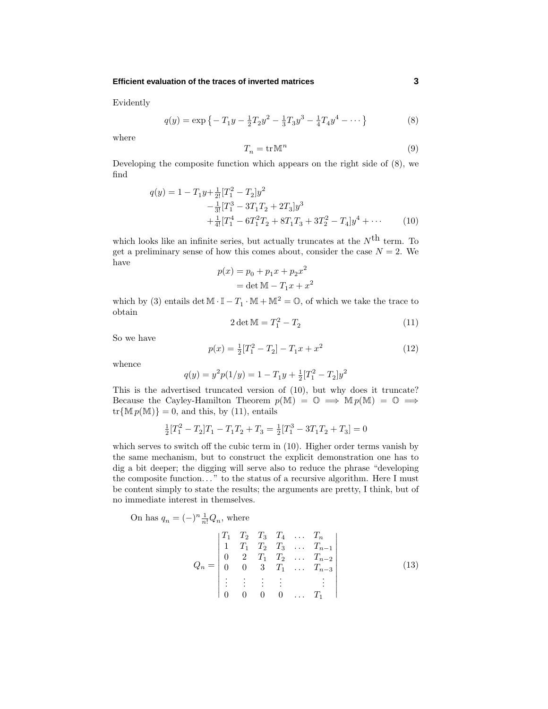#### **Efficient evaluation of the traces of inverted matrices 3**

Evidently

$$
q(y) = \exp\left\{-T_1y - \frac{1}{2}T_2y^2 - \frac{1}{3}T_3y^3 - \frac{1}{4}T_4y^4 - \cdots\right\}
$$
 (8)

where

$$
T_n = \text{tr}\,\mathbb{M}^n \tag{9}
$$

Developing the composite function which appears on the right side of (8), we find

$$
q(y) = 1 - T_1 y + \frac{1}{2!} [T_1^2 - T_2] y^2
$$
  

$$
- \frac{1}{3!} [T_1^3 - 3T_1 T_2 + 2T_3] y^3
$$
  

$$
+ \frac{1}{4!} [T_1^4 - 6T_1^2 T_2 + 8T_1 T_3 + 3T_2^2 - T_4] y^4 + \cdots
$$
 (10)

which looks like an infinite series, but actually truncates at the  $N^{\text{th}}$  term. To get a preliminary sense of how this comes about, consider the case  $N = 2$ . We have

$$
p(x) = p_0 + p_1 x + p_2 x^2
$$

$$
= \det \mathbb{M} - T_1 x + x^2
$$

which by (3) entails det  $\mathbb{M} \cdot \mathbb{I} - T_1 \cdot \mathbb{M} + \mathbb{M}^2 = \mathbb{O}$ , of which we take the trace to obtain

$$
2\det \mathbb{M} = T_1^2 - T_2 \tag{11}
$$

So we have

$$
p(x) = \frac{1}{2}[T_1^2 - T_2] - T_1x + x^2
$$
\n(12)

whence

$$
q(y) = y^2 p(1/y) = 1 - T_1 y + \frac{1}{2} [T_1^2 - T_2] y^2
$$

This is the advertised truncated version of (10), but why does it truncate? Because the Cayley-Hamilton Theorem  $p(M) = \mathbb{O} \implies M p(M) = \mathbb{O} \implies$  $tr{Mp(M)} = 0$ , and this, by (11), entails

$$
\frac{1}{2}[T_1^2 - T_2]T_1 - T_1T_2 + T_3 = \frac{1}{2}[T_1^3 - 3T_1T_2 + T_3] = 0
$$

which serves to switch off the cubic term in (10). Higher order terms vanish by the same mechanism, but to construct the explicit demonstration one has to dig a bit deeper; the digging will serve also to reduce the phrase "developing the composite function*...* " to the status of a recursive algorithm. Here I must be content simply to state the results; the arguments are pretty, I think, but of no immediate interest in themselves.

On has 
$$
q_n = (-)^n \frac{1}{n!} Q_n
$$
, where

$$
Q_n = \begin{vmatrix} T_1 & T_2 & T_3 & T_4 & \dots & T_n \\ 1 & T_1 & T_2 & T_3 & \dots & T_{n-1} \\ 0 & 2 & T_1 & T_2 & \dots & T_{n-2} \\ 0 & 0 & 3 & T_1 & \dots & T_{n-3} \\ \vdots & \vdots & \vdots & \vdots & & \vdots \\ 0 & 0 & 0 & 0 & \dots & T_1 \end{vmatrix}
$$
 (13)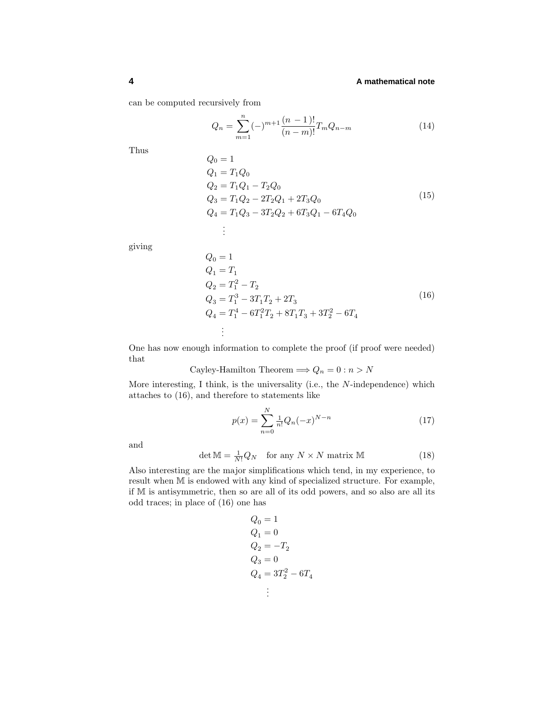## **4 A mathematical note**

can be computed recursively from

$$
Q_n = \sum_{m=1}^{n} (-)^{m+1} \frac{(n-1)!}{(n-m)!} T_m Q_{n-m}
$$
 (14)

Thus

$$
Q_0 = 1
$$
  
\n
$$
Q_1 = T_1 Q_0
$$
  
\n
$$
Q_2 = T_1 Q_1 - T_2 Q_0
$$
  
\n
$$
Q_3 = T_1 Q_2 - 2T_2 Q_1 + 2T_3 Q_0
$$
  
\n
$$
Q_4 = T_1 Q_3 - 3T_2 Q_2 + 6T_3 Q_1 - 6T_4 Q_0
$$
  
\n:  
\n
$$
\vdots
$$
 (15)

giving

$$
Q_0 = 1
$$
  
\n
$$
Q_1 = T_1
$$
  
\n
$$
Q_2 = T_1^2 - T_2
$$
  
\n
$$
Q_3 = T_1^3 - 3T_1T_2 + 2T_3
$$
  
\n
$$
Q_4 = T_1^4 - 6T_1^2T_2 + 8T_1T_3 + 3T_2^2 - 6T_4
$$
  
\n
$$
\vdots
$$
\n(16)

One has now enough information to complete the proof (if proof were needed) that

Cayley-Hamilton Theorem  $\Longrightarrow Q_n = 0: n > N$ 

More interesting, I think, is the universality (i.e., the *N*-independence) which attaches to (16), and therefore to statements like

$$
p(x) = \sum_{n=0}^{N} \frac{1}{n!} Q_n(-x)^{N-n}
$$
\n(17)

and

$$
\det \mathbb{M} = \frac{1}{N!} Q_N \quad \text{for any } N \times N \text{ matrix } \mathbb{M} \tag{18}
$$

Also interesting are the major simplifications which tend, in my experience, to result when M is endowed with any kind of specialized structure. For example, if M is antisymmetric, then so are all of its odd powers, and so also are all its odd traces; in place of (16) one has

$$
Q_0 = 1
$$
  
\n
$$
Q_1 = 0
$$
  
\n
$$
Q_2 = -T_2
$$
  
\n
$$
Q_3 = 0
$$
  
\n
$$
Q_4 = 3T_2^2 - 6T_4
$$
  
\n
$$
\vdots
$$